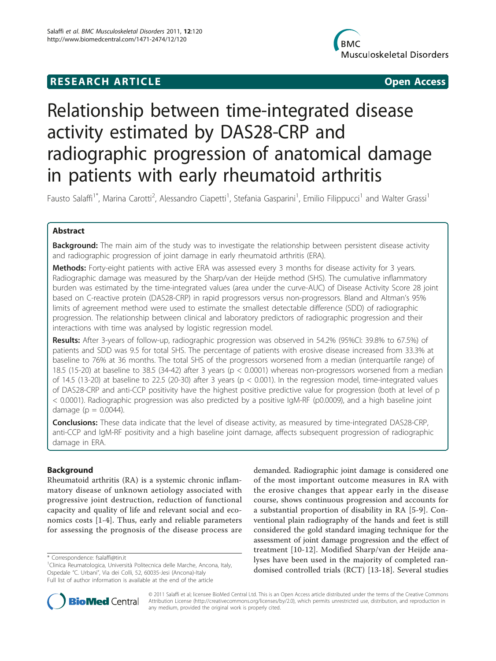# **RESEARCH ARTICLE Example 2018 CONSUMING ACCESS**



# Relationship between time-integrated disease activity estimated by DAS28-CRP and radiographic progression of anatomical damage in patients with early rheumatoid arthritis

Fausto Salaffi<sup>1\*</sup>, Marina Carotti<sup>2</sup>, Alessandro Ciapetti<sup>1</sup>, Stefania Gasparini<sup>1</sup>, Emilio Filippucci<sup>1</sup> and Walter Grassi<sup>1</sup>

# Abstract

**Background:** The main aim of the study was to investigate the relationship between persistent disease activity and radiographic progression of joint damage in early rheumatoid arthritis (ERA).

Methods: Forty-eight patients with active ERA was assessed every 3 months for disease activity for 3 years. Radiographic damage was measured by the Sharp/van der Heijde method (SHS). The cumulative inflammatory burden was estimated by the time-integrated values (area under the curve-AUC) of Disease Activity Score 28 joint based on C-reactive protein (DAS28-CRP) in rapid progressors versus non-progressors. Bland and Altman's 95% limits of agreement method were used to estimate the smallest detectable difference (SDD) of radiographic progression. The relationship between clinical and laboratory predictors of radiographic progression and their interactions with time was analysed by logistic regression model.

Results: After 3-years of follow-up, radiographic progression was observed in 54.2% (95%CI: 39.8% to 67.5%) of patients and SDD was 9.5 for total SHS. The percentage of patients with erosive disease increased from 33.3% at baseline to 76% at 36 months. The total SHS of the progressors worsened from a median (interquartile range) of 18.5 (15-20) at baseline to 38.5 (34-42) after 3 years (p < 0.0001) whereas non-progressors worsened from a median of 14.5 (13-20) at baseline to 22.5 (20-30) after 3 years (p < 0.001). In the regression model, time-integrated values of DAS28-CRP and anti-CCP positivity have the highest positive predictive value for progression (both at level of p < 0.0001). Radiographic progression was also predicted by a positive IgM-RF (p0.0009), and a high baseline joint damage ( $p = 0.0044$ ).

Conclusions: These data indicate that the level of disease activity, as measured by time-integrated DAS28-CRP, anti-CCP and IgM-RF positivity and a high baseline joint damage, affects subsequent progression of radiographic damage in ERA.

# Background

Rheumatoid arthritis (RA) is a systemic chronic inflammatory disease of unknown aetiology associated with progressive joint destruction, reduction of functional capacity and quality of life and relevant social and economics costs [[1-4\]](#page-5-0). Thus, early and reliable parameters for assessing the prognosis of the disease process are

demanded. Radiographic joint damage is considered one of the most important outcome measures in RA with the erosive changes that appear early in the disease course, shows continuous progression and accounts for a substantial proportion of disability in RA [[5-9](#page-5-0)]. Conventional plain radiography of the hands and feet is still considered the gold standard imaging technique for the assessment of joint damage progression and the effect of treatment [[10-12](#page-6-0)]. Modified Sharp/van der Heijde analyses have been used in the majority of completed randomised controlled trials (RCT) [[13-18](#page-6-0)]. Several studies



© 2011 Salaffi et al; licensee BioMed Central Ltd. This is an Open Access article distributed under the terms of the Creative Commons Attribution License [\(http://creativecommons.org/licenses/by/2.0](http://creativecommons.org/licenses/by/2.0)), which permits unrestricted use, distribution, and reproduction in any medium, provided the original work is properly cited.

<sup>\*</sup> Correspondence: [fsalaffi@tin.it](mailto:fsalaffi@tin.it)

<sup>&</sup>lt;sup>1</sup>Clinica Reumatologica, Università Politecnica delle Marche, Ancona, Italy, Ospedale "C. Urbani", Via dei Colli, 52, 60035-Jesi (Ancona)-Italy Full list of author information is available at the end of the article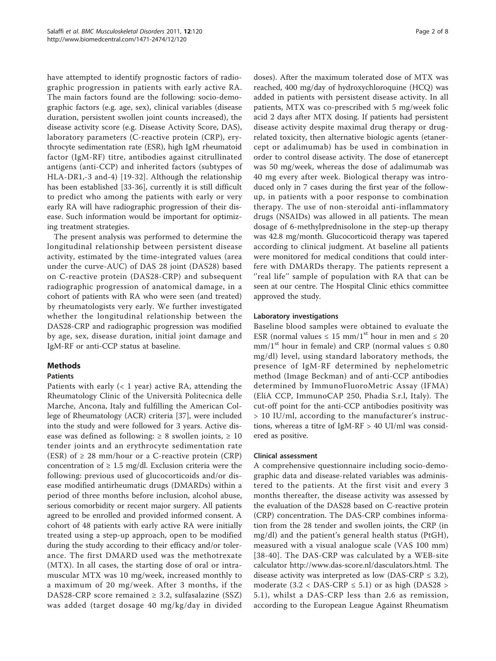have attempted to identify prognostic factors of radiographic progression in patients with early active RA. The main factors found are the following: socio-demographic factors (e.g. age, sex), clinical variables (disease duration, persistent swollen joint counts increased), the disease activity score (e.g. Disease Activity Score, DAS), laboratory parameters (C-reactive protein (CRP), erythrocyte sedimentation rate (ESR), high IgM rheumatoid factor (IgM-RF) titre, antibodies against citrullinated antigens (anti-CCP) and inherited factors (subtypes of HLA-DR1,-3 and-4) [[19](#page-6-0)-[32](#page-6-0)]. Although the relationship has been established [\[33](#page-6-0)-[36\]](#page-6-0), currently it is still difficult to predict who among the patients with early or very early RA will have radiographic progression of their disease. Such information would be important for optimizing treatment strategies.

The present analysis was performed to determine the longitudinal relationship between persistent disease activity, estimated by the time-integrated values (area under the curve-AUC) of DAS 28 joint (DAS28) based on C-reactive protein (DAS28-CRP) and subsequent radiographic progression of anatomical damage, in a cohort of patients with RA who were seen (and treated) by rheumatologists very early. We further investigated whether the longitudinal relationship between the DAS28-CRP and radiographic progression was modified by age, sex, disease duration, initial joint damage and IgM-RF or anti-CCP status at baseline.

# Methods

# Patients

Patients with early  $($  1 year) active RA, attending the Rheumatology Clinic of the Università Politecnica delle Marche, Ancona, Italy and fulfilling the American College of Rheumatology (ACR) criteria [\[37](#page-6-0)], were included into the study and were followed for 3 years. Active disease was defined as following:  $\geq 8$  swollen joints,  $\geq 10$ tender joints and an erythrocyte sedimentation rate (ESR) of  $\geq$  28 mm/hour or a C-reactive protein (CRP) concentration of  $\geq 1.5$  mg/dl. Exclusion criteria were the following: previous used of glucocorticoids and/or disease modified antirheumatic drugs (DMARDs) within a period of three months before inclusion, alcohol abuse, serious comorbidity or recent major surgery. All patients agreed to be enrolled and provided informed consent. A cohort of 48 patients with early active RA were initially treated using a step-up approach, open to be modified during the study according to their efficacy and/or tolerance. The first DMARD used was the methotrexate (MTX). In all cases, the starting dose of oral or intramuscular MTX was 10 mg/week, increased monthly to a maximum of 20 mg/week. After 3 months, if the DAS28-CRP score remained  $\geq$  3.2, sulfasalazine (SSZ) was added (target dosage 40 mg/kg/day in divided

doses). After the maximum tolerated dose of MTX was reached, 400 mg/day of hydroxychloroquine (HCQ) was added in patients with persistent disease activity. In all patients, MTX was co-prescribed with 5 mg/week folic acid 2 days after MTX dosing. If patients had persistent disease activity despite maximal drug therapy or drugrelated toxicity, then alternative biologic agents (etanercept or adalimumab) has be used in combination in order to control disease activity. The dose of etanercept was 50 mg/week, whereas the dose of adalimumab was 40 mg every after week. Biological therapy was introduced only in 7 cases during the first year of the followup, in patients with a poor response to combination therapy. The use of non-steroidal anti-inflammatory drugs (NSAIDs) was allowed in all patients. The mean dosage of 6-methylprednisolone in the step-up therapy was 42.8 mg/month. Glucocorticoid therapy was tapered according to clinical judgment. At baseline all patients were monitored for medical conditions that could interfere with DMARDs therapy. The patients represent a ''real life'' sample of population with RA that can be seen at our centre. The Hospital Clinic ethics committee approved the study.

# Laboratory investigations

Baseline blood samples were obtained to evaluate the ESR (normal values  $\leq 15$  mm/1<sup>st</sup> hour in men and  $\leq 20$ mm/1<sup>st</sup> hour in female) and CRP (normal values  $\leq 0.80$ mg/dl) level, using standard laboratory methods, the presence of IgM-RF determined by nephelometric method (Image Beckman) and of anti-CCP antibodies determined by ImmunoFluoroMetric Assay (IFMA) (EliA CCP, ImmunoCAP 250, Phadia S.r.l, Italy). The cut-off point for the anti-CCP antibodies positivity was > 10 IU/ml, according to the manufacturer's instructions, whereas a titre of IgM-RF > 40 UI/ml was considered as positive.

# Clinical assessment

A comprehensive questionnaire including socio-demographic data and disease-related variables was administered to the patients. At the first visit and every 3 months thereafter, the disease activity was assessed by the evaluation of the DAS28 based on C-reactive protein (CRP) concentration. The DAS-CRP combines information from the 28 tender and swollen joints, the CRP (in mg/dl) and the patient's general health status (PtGH), measured with a visual analogue scale (VAS 100 mm) [[38-40\]](#page-6-0). The DAS-CRP was calculated by a WEB-site calculator [http://www.das-score.nl/dasculators.html.](http://www.das-score.nl/dasculators.html) The disease activity was interpreted as low (DAS-CRP  $\leq$  3.2), moderate  $(3.2 < \text{DAS-CRP} \leq 5.1)$  or as high (DAS28 > 5.1), whilst a DAS-CRP less than 2.6 as remission, according to the European League Against Rheumatism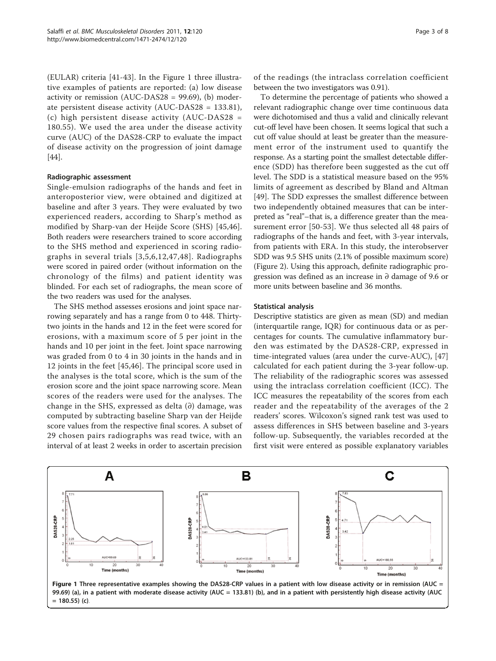(EULAR) criteria [\[41](#page-6-0)-[43\]](#page-7-0). In the Figure 1 three illustrative examples of patients are reported: (a) low disease activity or remission (AUC-DAS28 = 99.69), (b) moderate persistent disease activity (AUC-DAS28 = 133.81), (c) high persistent disease activity (AUC-DAS28 = 180.55). We used the area under the disease activity curve (AUC) of the DAS28-CRP to evaluate the impact of disease activity on the progression of joint damage [[44\]](#page-7-0).

#### Radiographic assessment

Single-emulsion radiographs of the hands and feet in anteroposterior view, were obtained and digitized at baseline and after 3 years. They were evaluated by two experienced readers, according to Sharp's method as modified by Sharp-van der Heijde Score (SHS) [[45,46](#page-7-0)]. Both readers were researchers trained to score according to the SHS method and experienced in scoring radiographs in several trials [[3](#page-5-0),[5](#page-5-0),[6](#page-5-0),[12](#page-6-0),[47](#page-7-0),[48](#page-7-0)]. Radiographs were scored in paired order (without information on the chronology of the films) and patient identity was blinded. For each set of radiographs, the mean score of the two readers was used for the analyses.

The SHS method assesses erosions and joint space narrowing separately and has a range from 0 to 448. Thirtytwo joints in the hands and 12 in the feet were scored for erosions, with a maximum score of 5 per joint in the hands and 10 per joint in the feet. Joint space narrowing was graded from 0 to 4 in 30 joints in the hands and in 12 joints in the feet [[45,46](#page-7-0)]. The principal score used in the analyses is the total score, which is the sum of the erosion score and the joint space narrowing score. Mean scores of the readers were used for the analyses. The change in the SHS, expressed as delta  $(∂)$  damage, was computed by subtracting baseline Sharp van der Heijde score values from the respective final scores. A subset of 29 chosen pairs radiographs was read twice, with an interval of at least 2 weeks in order to ascertain precision

of the readings (the intraclass correlation coefficient between the two investigators was 0.91).

To determine the percentage of patients who showed a relevant radiographic change over time continuous data were dichotomised and thus a valid and clinically relevant cut-off level have been chosen. It seems logical that such a cut off value should at least be greater than the measurement error of the instrument used to quantify the response. As a starting point the smallest detectable difference (SDD) has therefore been suggested as the cut off level. The SDD is a statistical measure based on the 95% limits of agreement as described by Bland and Altman [[49\]](#page-7-0). The SDD expresses the smallest difference between two independently obtained measures that can be interpreted as "real"–that is, a difference greater than the measurement error [\[50](#page-7-0)-[53](#page-7-0)]. We thus selected all 48 pairs of radiographs of the hands and feet, with 3-year intervals, from patients with ERA. In this study, the interobserver SDD was 9.5 SHS units (2.1% of possible maximum score) (Figure [2](#page-3-0)). Using this approach, definite radiographic progression was defined as an increase in ∂ damage of 9.6 or more units between baseline and 36 months.

#### Statistical analysis

Descriptive statistics are given as mean (SD) and median (interquartile range, IQR) for continuous data or as percentages for counts. The cumulative inflammatory burden was estimated by the DAS28-CRP, expressed in time-integrated values (area under the curve-AUC), [[47](#page-7-0)] calculated for each patient during the 3-year follow-up. The reliability of the radiographic scores was assessed using the intraclass correlation coefficient (ICC). The ICC measures the repeatability of the scores from each reader and the repeatability of the averages of the 2 readers' scores. Wilcoxon's signed rank test was used to assess differences in SHS between baseline and 3-years follow-up. Subsequently, the variables recorded at the first visit were entered as possible explanatory variables

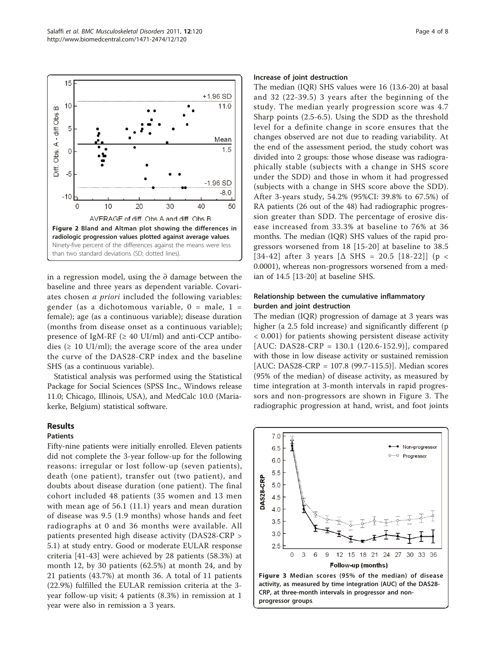<span id="page-3-0"></span>

in a regression model, using the ∂ damage between the baseline and three years as dependent variable. Covariates chosen a priori included the following variables: gender (as a dichotomous variable,  $0 =$  male,  $1 =$ female); age (as a continuous variable); disease duration (months from disease onset as a continuous variable); presence of IgM-RF ( $\geq$  40 UI/ml) and anti-CCP antibodies ( $\geq 10$  UI/ml); the average score of the area under the curve of the DAS28-CRP index and the baseline SHS (as a continuous variable).

Statistical analysis was performed using the Statistical Package for Social Sciences (SPSS Inc., Windows release 11.0; Chicago, Illinois, USA), and MedCalc 10.0 (Mariakerke, Belgium) statistical software.

# Results

#### Patients

Fifty-nine patients were initially enrolled. Eleven patients did not complete the 3-year follow-up for the following reasons: irregular or lost follow-up (seven patients), death (one patient), transfer out (two patient), and doubts about disease duration (one patient). The final cohort included 48 patients (35 women and 13 men with mean age of 56.1 (11.1) years and mean duration of disease was 9.5 (1.9 months) whose hands and feet radiographs at 0 and 36 months were available. All patients presented high disease activity (DAS28-CRP > 5.1) at study entry. Good or moderate EULAR response criteria [[41-](#page-6-0)[43\]](#page-7-0) were achieved by 28 patients (58.3%) at month 12, by 30 patients (62.5%) at month 24, and by 21 patients (43.7%) at month 36. A total of 11 patients (22.9%) fulfilled the EULAR remission criteria at the 3 year follow-up visit; 4 patients (8.3%) in remission at 1 year were also in remission a 3 years.

#### Increase of joint destruction

The median (IQR) SHS values were 16 (13.6-20) at basal and 32 (22-39.5) 3 years after the beginning of the study. The median yearly progression score was 4.7 Sharp points (2.5-6.5). Using the SDD as the threshold level for a definite change in score ensures that the changes observed are not due to reading variability. At the end of the assessment period, the study cohort was divided into 2 groups: those whose disease was radiographically stable (subjects with a change in SHS score under the SDD) and those in whom it had progressed (subjects with a change in SHS score above the SDD). After 3-years study, 54.2% (95%CI: 39.8% to 67.5%) of RA patients (26 out of the 48) had radiographic progression greater than SDD. The percentage of erosive disease increased from 33.3% at baseline to 76% at 36 months. The median (IQR) SHS values of the rapid progressors worsened from 18 [\[15-20\]](#page-6-0) at baseline to 38.5 [[34](#page-6-0)-[42\]](#page-7-0) after 3 years  $[\Delta$  SHS = 20.5 [[18-22](#page-6-0)]] (p < 0.0001), whereas non-progressors worsened from a median of 14.5 [[13](#page-6-0)-[20\]](#page-6-0) at baseline SHS.

# Relationship between the cumulative inflammatory burden and joint destruction

The median (IQR) progression of damage at 3 years was higher (a 2.5 fold increase) and significantly different (p < 0.001) for patients showing persistent disease activity [AUC: DAS28-CRP = 130.1 (120.6-152.9)], compared with those in low disease activity or sustained remission [AUC: DAS28-CRP = 107.8 (99.7-115.5)]. Median scores (95% of the median) of disease activity, as measured by time integration at 3-month intervals in rapid progressors and non-progressors are shown in Figure 3. The radiographic progression at hand, wrist, and foot joints

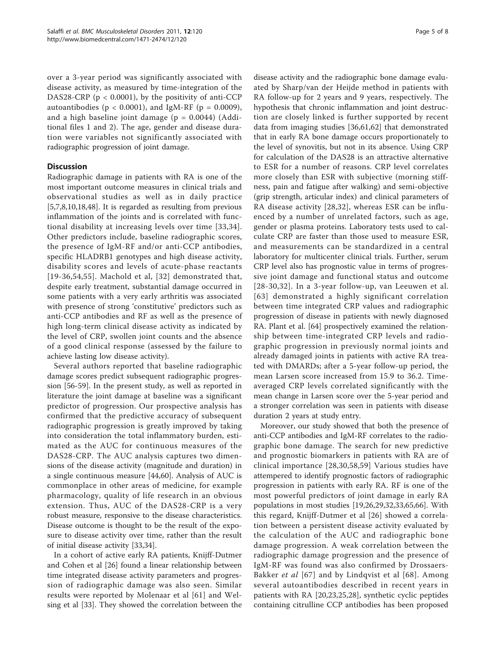over a 3-year period was significantly associated with disease activity, as measured by time-integration of the DAS28-CRP (p < 0.0001), by the positivity of anti-CCP autoantibodies ( $p < 0.0001$ ), and IgM-RF ( $p = 0.0009$ ), and a high baseline joint damage  $(p = 0.0044)$  (Additional files [1](#page-5-0) and [2](#page-5-0)). The age, gender and disease duration were variables not significantly associated with radiographic progression of joint damage.

# **Discussion**

Radiographic damage in patients with RA is one of the most important outcome measures in clinical trials and observational studies as well as in daily practice [[5,7,8,](#page-5-0)[10,18,](#page-6-0)[48\]](#page-7-0). It is regarded as resulting from previous inflammation of the joints and is correlated with functional disability at increasing levels over time [[33](#page-6-0),[34](#page-6-0)]. Other predictors include, baseline radiographic scores, the presence of IgM-RF and/or anti-CCP antibodies, specific HLADRB1 genotypes and high disease activity, disability scores and levels of acute-phase reactants [[19-36,](#page-6-0)[54,55](#page-7-0)]. Machold et al, [[32\]](#page-6-0) demonstrated that, despite early treatment, substantial damage occurred in some patients with a very early arthritis was associated with presence of strong 'constitutive' predictors such as anti-CCP antibodies and RF as well as the presence of high long-term clinical disease activity as indicated by the level of CRP, swollen joint counts and the absence of a good clinical response (assessed by the failure to achieve lasting low disease activity).

Several authors reported that baseline radiographic damage scores predict subsequent radiographic progression [\[56-59](#page-7-0)]. In the present study, as well as reported in literature the joint damage at baseline was a significant predictor of progression. Our prospective analysis has confirmed that the predictive accuracy of subsequent radiographic progression is greatly improved by taking into consideration the total inflammatory burden, estimated as the AUC for continuous measures of the DAS28-CRP. The AUC analysis captures two dimensions of the disease activity (magnitude and duration) in a single continuous measure [[44,60\]](#page-7-0). Analysis of AUC is commonplace in other areas of medicine, for example pharmacology, quality of life research in an obvious extension. Thus, AUC of the DAS28-CRP is a very robust measure, responsive to the disease characteristics. Disease outcome is thought to be the result of the exposure to disease activity over time, rather than the result of initial disease activity [\[33,34\]](#page-6-0).

In a cohort of active early RA patients, Knijff-Dutmer and Cohen et al [[26\]](#page-6-0) found a linear relationship between time integrated disease activity parameters and progression of radiographic damage was also seen. Similar results were reported by Molenaar et al [[61\]](#page-7-0) and Welsing et al [[33](#page-6-0)]. They showed the correlation between the disease activity and the radiographic bone damage evaluated by Sharp/van der Heijde method in patients with RA follow-up for 2 years and 9 years, respectively. The hypothesis that chronic inflammation and joint destruction are closely linked is further supported by recent data from imaging studies [[36,](#page-6-0)[61,62](#page-7-0)] that demonstrated that in early RA bone damage occurs proportionately to the level of synovitis, but not in its absence. Using CRP for calculation of the DAS28 is an attractive alternative to ESR for a number of reasons. CRP level correlates more closely than ESR with subjective (morning stiffness, pain and fatigue after walking) and semi-objective (grip strength, articular index) and clinical parameters of RA disease activity [[28,32\]](#page-6-0), whereas ESR can be influenced by a number of unrelated factors, such as age, gender or plasma proteins. Laboratory tests used to calculate CRP are faster than those used to measure ESR, and measurements can be standardized in a central laboratory for multicenter clinical trials. Further, serum CRP level also has prognostic value in terms of progressive joint damage and functional status and outcome [[28-30](#page-6-0),[32\]](#page-6-0). In a 3-year follow-up, van Leeuwen et al. [[63](#page-7-0)] demonstrated a highly significant correlation between time integrated CRP values and radiographic progression of disease in patients with newly diagnosed RA. Plant et al. [\[64\]](#page-7-0) prospectively examined the relationship between time-integrated CRP levels and radiographic progression in previously normal joints and already damaged joints in patients with active RA treated with DMARDs; after a 5-year follow-up period, the mean Larsen score increased from 15.9 to 36.2. Timeaveraged CRP levels correlated significantly with the mean change in Larsen score over the 5-year period and a stronger correlation was seen in patients with disease duration 2 years at study entry.

Moreover, our study showed that both the presence of anti-CCP antibodies and IgM-RF correlates to the radiographic bone damage. The search for new predictive and prognostic biomarkers in patients with RA are of clinical importance [\[28,30](#page-6-0),[58,59\]](#page-7-0) Various studies have attempered to identify prognostic factors of radiographic progression in patients with early RA. RF is one of the most powerful predictors of joint damage in early RA populations in most studies [\[19](#page-6-0),[26](#page-6-0),[29,32,33,](#page-6-0)[65,66\]](#page-7-0). With this regard, Knijff-Dutmer et al [[26\]](#page-6-0) showed a correlation between a persistent disease activity evaluated by the calculation of the AUC and radiographic bone damage progression. A weak correlation between the radiographic damage progression and the presence of IgM-RF was found was also confirmed by Drossaers-Bakker et al [\[67\]](#page-7-0) and by Lindqvist et al [[68](#page-7-0)]. Among several autoantibodies described in recent years in patients with RA [[20,23,25,28](#page-6-0)], synthetic cyclic peptides containing citrulline CCP antibodies has been proposed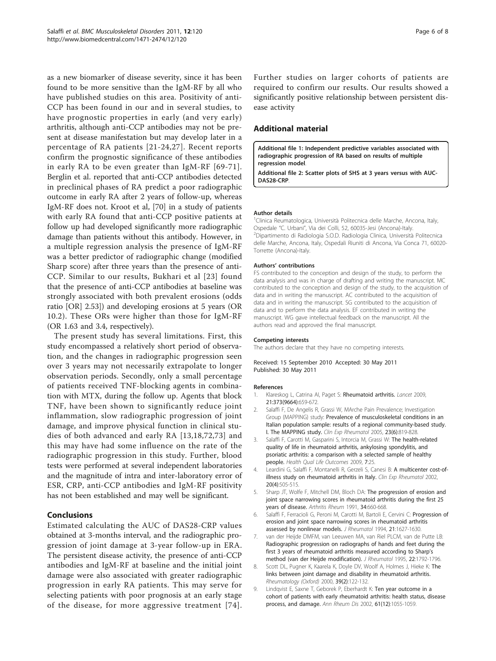<span id="page-5-0"></span>as a new biomarker of disease severity, since it has been found to be more sensitive than the IgM-RF by all who have published studies on this area. Positivity of anti-CCP has been found in our and in several studies, to have prognostic properties in early (and very early) arthritis, although anti-CCP antibodies may not be present at disease manifestation but may develop later in a percentage of RA patients [[21](#page-6-0)-[24,27\]](#page-6-0). Recent reports confirm the prognostic significance of these antibodies in early RA to be even greater than IgM-RF [[69](#page-7-0)-[71\]](#page-7-0). Berglin et al. reported that anti-CCP antibodies detected in preclinical phases of RA predict a poor radiographic outcome in early RA after 2 years of follow-up, whereas IgM-RF does not. Kroot et al, [\[70](#page-7-0)] in a study of patients with early RA found that anti-CCP positive patients at follow up had developed significantly more radiographic damage than patients without this antibody. However, in a multiple regression analysis the presence of IgM-RF was a better predictor of radiographic change (modified Sharp score) after three years than the presence of anti-CCP. Similar to our results, Bukhari et al [[23](#page-6-0)] found that the presence of anti-CCP antibodies at baseline was strongly associated with both prevalent erosions (odds ratio [OR] 2.53]) and developing erosions at 5 years (OR 10.2). These ORs were higher than those for IgM-RF (OR 1.63 and 3.4, respectively).

The present study has several limitations. First, this study encompassed a relatively short period of observation, and the changes in radiographic progression seen over 3 years may not necessarily extrapolate to longer observation periods. Secondly, only a small percentage of patients received TNF-blocking agents in combination with MTX, during the follow up. Agents that block TNF, have been shown to significantly reduce joint inflammation, slow radiographic progression of joint damage, and improve physical function in clinical studies of both advanced and early RA [[13,18,](#page-6-0)[72](#page-7-0),[73](#page-7-0)] and this may have had some influence on the rate of the radiographic progression in this study. Further, blood tests were performed at several independent laboratories and the magnitude of intra and inter-laboratory error of ESR, CRP, anti-CCP antibodies and IgM-RF positivity has not been established and may well be significant.

# Conclusions

Estimated calculating the AUC of DAS28-CRP values obtained at 3-months interval, and the radiographic progression of joint damage at 3-year follow-up in ERA. The persistent disease activity, the presence of anti-CCP antibodies and IgM-RF at baseline and the initial joint damage were also associated with greater radiographic progression in early RA patients. This may serve for selecting patients with poor prognosis at an early stage of the disease, for more aggressive treatment [[74\]](#page-7-0). Further studies on larger cohorts of patients are required to confirm our results. Our results showed a significantly positive relationship between persistent disease activity

# Additional material

[Additional file 1: I](http://www.biomedcentral.com/content/supplementary/1471-2474-12-120-S1.DOC)ndependent predictive variables associated with radiographic progression of RA based on results of multiple regression model.

[Additional file 2: S](http://www.biomedcentral.com/content/supplementary/1471-2474-12-120-S2.TIFF)catter plots of SHS at 3 years versus with AUC-DAS28-CRP.

#### Author details

<sup>1</sup>Clinica Reumatologica, Università Politecnica delle Marche, Ancona, Italy Ospedale "C. Urbani", Via dei Colli, 52, 60035-Jesi (Ancona)-Italy. <sup>2</sup> <sup>2</sup>Dipartimento di Radiologia S.O.D. Radiologia Clinica, Università Politecnica delle Marche, Ancona, Italy, Ospedali Riuniti di Ancona, Via Conca 71, 60020- Torrette (Ancona)-Italy.

#### Authors' contributions

FS contributed to the conception and design of the study, to perform the data analysis and was in charge of drafting and writing the manuscript. MC contributed to the conception and design of the study, to the acquisition of data and in writing the manuscript. AC contributed to the acquisition of data and in writing the manuscript. SG contributed to the acquisition of data and to perform the data analysis. EF contributed in writing the manuscript. WG gave intellectual feedback on the manuscript. All the authors read and approved the final manuscript.

#### Competing interests

The authors declare that they have no competing interests.

#### Received: 15 September 2010 Accepted: 30 May 2011 Published: 30 May 2011

#### References

- Klareskog L, Catrina AI, Paget S: Rheumatoid arthritis. Lancet 2009, 21:373(9664):659-672.
- Salaffi F, De Angelis R, Grassi W, MArche Pain Prevalence; Investigation Group (MAPPING) study: [Prevalence of musculoskeletal conditions in an](http://www.ncbi.nlm.nih.gov/pubmed/16396700?dopt=Abstract) [Italian population sample: results of a regional community-based study.](http://www.ncbi.nlm.nih.gov/pubmed/16396700?dopt=Abstract) [I. The MAPPING study.](http://www.ncbi.nlm.nih.gov/pubmed/16396700?dopt=Abstract) Clin Exp Rheumatol 2005, 23(6):819-828.
- 3. Salaffi F, Carotti M, Gasparini S, Intorcia M, Grassi W: [The health-related](http://www.ncbi.nlm.nih.gov/pubmed/19296831?dopt=Abstract) [quality of life in rheumatoid arthritis, ankylosing spondylitis, and](http://www.ncbi.nlm.nih.gov/pubmed/19296831?dopt=Abstract) [psoriatic arthritis: a comparison with a selected sample of healthy](http://www.ncbi.nlm.nih.gov/pubmed/19296831?dopt=Abstract) [people.](http://www.ncbi.nlm.nih.gov/pubmed/19296831?dopt=Abstract) Health Qual Life Outcomes 2009, 7:25.
- 4. Leardini G, Salaffi F, Montanelli R, Gerzeli S, Canesi B: [A multicenter cost-of](http://www.ncbi.nlm.nih.gov/pubmed/12175106?dopt=Abstract)[illness study on rheumatoid arthritis in Italy.](http://www.ncbi.nlm.nih.gov/pubmed/12175106?dopt=Abstract) Clin Exp Rheumatol 2002, 20(4):505-515.
- 5. Sharp JT, Wolfe F, Mitchell DM, Bloch DA: [The progression of erosion and](http://www.ncbi.nlm.nih.gov/pubmed/2053913?dopt=Abstract) [joint space narrowing scores in rheumatoid arthritis during the first 25](http://www.ncbi.nlm.nih.gov/pubmed/2053913?dopt=Abstract) [years of disease.](http://www.ncbi.nlm.nih.gov/pubmed/2053913?dopt=Abstract) Arthritis Rheum 1991, 34:660-668
- 6. Salaffi F, Ferracioli G, Peroni M, Carotti M, Bartoli E, Cervini C: Progression of erosion and joint space narrowing scores in rheumatoid arthritis assessed by nonlinear models. J Rheumatol 1994, 21:1627-1630.
- 7. van der Heijde DMFM, van Leeuwen MA, van Riel PLCM, van de Putte LB: [Radiographic progression on radiographs of hands and feet during the](http://www.ncbi.nlm.nih.gov/pubmed/8523365?dopt=Abstract) [first 3 years of rheumatoid arthritis measured according to Sharp](http://www.ncbi.nlm.nih.gov/pubmed/8523365?dopt=Abstract)'s [method \(van der Heijde modification\).](http://www.ncbi.nlm.nih.gov/pubmed/8523365?dopt=Abstract) J Rheumatol 1995, 22:1792-1796.
- 8. Scott DL, Pugner K, Kaarela K, Doyle DV, Woolf A, Holmes J, Hieke K: The links between joint damage and disability in rheumatoid arthritis. Rheumatology (Oxford) 2000, 39(2):122-132.
- 9. Lindqvist E, Saxne T, Geborek P, Eberhardt K: [Ten year outcome in a](http://www.ncbi.nlm.nih.gov/pubmed/12429534?dopt=Abstract) [cohort of patients with early rheumatoid arthritis: health status, disease](http://www.ncbi.nlm.nih.gov/pubmed/12429534?dopt=Abstract) [process, and damage.](http://www.ncbi.nlm.nih.gov/pubmed/12429534?dopt=Abstract) Ann Rheum Dis 2002, 61(12):1055-1059.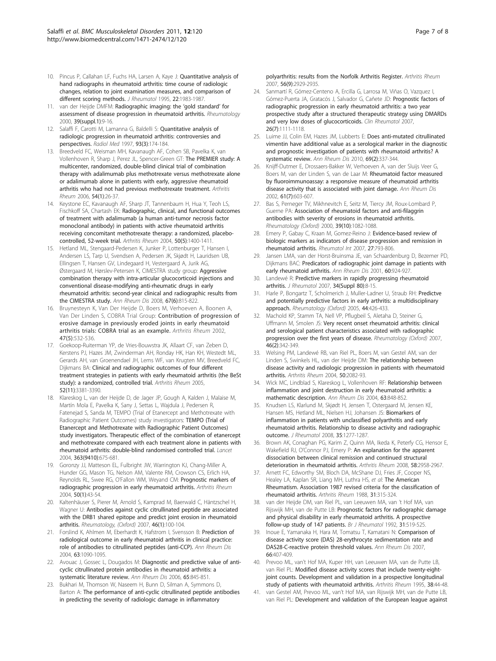- <span id="page-6-0"></span>10. Pincus P, Callahan LF, Fuchs HA, Larsen A, Kaye J: **[Quantitative analysis of](http://www.ncbi.nlm.nih.gov/pubmed/8992005?dopt=Abstract)** [hand radiographs in rheumatoid arthritis: time course of radiologic](http://www.ncbi.nlm.nih.gov/pubmed/8992005?dopt=Abstract) [changes, relation to joint examination measures, and comparison of](http://www.ncbi.nlm.nih.gov/pubmed/8992005?dopt=Abstract) [different scoring methods.](http://www.ncbi.nlm.nih.gov/pubmed/8992005?dopt=Abstract) J Rheumatol 1995, 22:1983-1987.
- 11. van der Heijde DMFM: [Radiographic imaging: the](http://www.ncbi.nlm.nih.gov/pubmed/11001374?dopt=Abstract) 'gold standard' for [assessment of disease progression in rheumatoid arthritis.](http://www.ncbi.nlm.nih.gov/pubmed/11001374?dopt=Abstract) Rheumatology 2000, 39(suppl.1):9-16.
- 12. Salaffi F, Carotti M, Lamanna G, Baldelli S: [Quantitative analysis of](http://www.ncbi.nlm.nih.gov/pubmed/9221406?dopt=Abstract) [radiologic progression in rheumatoid arthritis: controversies and](http://www.ncbi.nlm.nih.gov/pubmed/9221406?dopt=Abstract) [perspectives.](http://www.ncbi.nlm.nih.gov/pubmed/9221406?dopt=Abstract) Radiol Med 1997, 93(3):174-184.
- 13. Breedveld FC, Weisman MH, Kavanaugh AF, Cohen SB, Pavelka K, van Vollenhoven R, Sharp J, Perez JL, Spencer-Green GT: [The PREMIER study: A](http://www.ncbi.nlm.nih.gov/pubmed/16385520?dopt=Abstract) [multicenter, randomized, double-blind clinical trial of combination](http://www.ncbi.nlm.nih.gov/pubmed/16385520?dopt=Abstract) [therapy with adalimumab plus methotrexate versus methotrexate alone](http://www.ncbi.nlm.nih.gov/pubmed/16385520?dopt=Abstract) [or adalimumab alone in patients with early, aggressive rheumatoid](http://www.ncbi.nlm.nih.gov/pubmed/16385520?dopt=Abstract) [arthritis who had not had previous methotrexate treatment.](http://www.ncbi.nlm.nih.gov/pubmed/16385520?dopt=Abstract) Arthritis Rheum 2006, 54(1):26-37.
- 14. Keystone EC, Kavanaugh AF, Sharp JT, Tannenbaum H, Hua Y, Teoh LS, Fischkoff SA, Chartash EK: [Radiographic, clinical, and functional outcomes](http://www.ncbi.nlm.nih.gov/pubmed/15146409?dopt=Abstract) [of treatment with adalimumab \(a human anti-tumor necrosis factor](http://www.ncbi.nlm.nih.gov/pubmed/15146409?dopt=Abstract) [monoclonal antibody\) in patients with active rheumatoid arthritis](http://www.ncbi.nlm.nih.gov/pubmed/15146409?dopt=Abstract) [receiving concomitant methotrexate therapy: a randomized, placebo](http://www.ncbi.nlm.nih.gov/pubmed/15146409?dopt=Abstract)[controlled, 52-week trial.](http://www.ncbi.nlm.nih.gov/pubmed/15146409?dopt=Abstract) Arthritis Rheum 2004, 50(5):1400-1411.
- 15. Hetland ML, Stengaard-Pedersen K, Junker P, Lottenburger T, Hansen I, Andersen LS, Tarp U, Svendsen A, Pedersen JK, Skjødt H, Lauridsen UB, Ellingsen T, Hansen GV, Lindegaard H, Vestergaard A, Jurik AG, Østergaard M, Hørslev-Petersen K, CIMESTRA study group: [Aggressive](http://www.ncbi.nlm.nih.gov/pubmed/17878209?dopt=Abstract) [combination therapy with intra-articular glucocorticoid injections and](http://www.ncbi.nlm.nih.gov/pubmed/17878209?dopt=Abstract) [conventional disease-modifying anti-rheumatic drugs in early](http://www.ncbi.nlm.nih.gov/pubmed/17878209?dopt=Abstract) [rheumatoid arthritis: second-year clinical and radiographic results from](http://www.ncbi.nlm.nih.gov/pubmed/17878209?dopt=Abstract) [the CIMESTRA study.](http://www.ncbi.nlm.nih.gov/pubmed/17878209?dopt=Abstract) Ann Rheum Dis 2008, 67(6):815-822.
- 16. Bruynesteyn K, Van Der Heijde D, Boers M, Verhoeven A, Boonen A, Van Der Linden S, COBRA Trial Group: [Contribution of progression of](http://www.ncbi.nlm.nih.gov/pubmed/12382303?dopt=Abstract) [erosive damage in previously eroded joints in early rheumatoid](http://www.ncbi.nlm.nih.gov/pubmed/12382303?dopt=Abstract) [arthritis trials: COBRA trial as an example.](http://www.ncbi.nlm.nih.gov/pubmed/12382303?dopt=Abstract) Arthritis Rheum 2002, 47(5):532-536.
- 17. Goekoop-Ruiterman YP, de Vries-Bouwstra JK, Allaart CF, van Zeben D, Kerstens PJ, Hazes JM, Zwinderman AH, Ronday HK, Han KH, Westedt ML, Gerards AH, van Groenendael JH, Lems WF, van Krugten MV, Breedveld FC, Dijkmans BA: [Clinical and radiographic outcomes of four different](http://www.ncbi.nlm.nih.gov/pubmed/16258899?dopt=Abstract) [treatment strategies in patients with early rheumatoid arthritis \(the BeSt](http://www.ncbi.nlm.nih.gov/pubmed/16258899?dopt=Abstract) [study\): a randomized, controlled trial.](http://www.ncbi.nlm.nih.gov/pubmed/16258899?dopt=Abstract) Arthritis Rheum 2005, 52(11):3381-3390.
- 18. Klareskog L, van der Heijde D, de Jager JP, Gough A, Kalden J, Malaise M, Martín Mola E, Pavelka K, Sany J, Settas L, Wajdula J, Pedersen R, Fatenejad S, Sanda M, TEMPO (Trial of Etanercept and Methotrexate with Radiographic Patient Outcomes) study investigators: [TEMPO \(Trial of](http://www.ncbi.nlm.nih.gov/pubmed/15001324?dopt=Abstract) [Etanercept and Methotrexate with Radiographic Patient Outcomes\)](http://www.ncbi.nlm.nih.gov/pubmed/15001324?dopt=Abstract) [study investigators. Therapeutic effect of the combination of etanercept](http://www.ncbi.nlm.nih.gov/pubmed/15001324?dopt=Abstract) [and methotrexate compared with each treatment alone in patients with](http://www.ncbi.nlm.nih.gov/pubmed/15001324?dopt=Abstract) [rheumatoid arthritis: double-blind randomised controlled trial.](http://www.ncbi.nlm.nih.gov/pubmed/15001324?dopt=Abstract) Lancet 2004, 363(9410):675-681.
- 19. Goronzy JJ, Matteson EL, Fulbright JW, Warrington KJ, Chang-Miller A, Hunder GG, Mason TG, Nelson AM, Valente RM, Crowson CS, Erlich HA, Reynolds RL, Swee RG, O'Fallon WM, Weyand CM: [Prognostic markers of](http://www.ncbi.nlm.nih.gov/pubmed/14730598?dopt=Abstract) [radiographic progression in early rheumatoid arthritis.](http://www.ncbi.nlm.nih.gov/pubmed/14730598?dopt=Abstract) Arthritis Rheum 2004, 50(1):43-54.
- 20. Kaltenhäuser S, Pierer M, Arnold S, Kamprad M, Baerwald C, Häntzschel H, Wagner U: Antibodies against cyclic citrullinated peptide are associated with the DRB1 shared epitope and predict joint erosion in rheumatoid arthritis. Rheumatology, (Oxford) 2007, 46(1):100-104.
- 21. Forslind K, Ahlmen M, Eberhardt K, Hafstrom I, Svensson B: [Prediction of](http://www.ncbi.nlm.nih.gov/pubmed/15308518?dopt=Abstract) [radiological outcome in early rheumatoid arthritis in clinical practice:](http://www.ncbi.nlm.nih.gov/pubmed/15308518?dopt=Abstract) [role of antibodies to citrullinated peptides \(anti-CCP\).](http://www.ncbi.nlm.nih.gov/pubmed/15308518?dopt=Abstract) Ann Rheum Dis 2004, 63:1090-1095.
- 22. Avouac J, Gossec L, Dougados M: [Diagnostic and predictive value of anti](http://www.ncbi.nlm.nih.gov/pubmed/16606649?dopt=Abstract)[cyclic citrullinated protein antibodies in rheumatoid arthritis: a](http://www.ncbi.nlm.nih.gov/pubmed/16606649?dopt=Abstract) [systematic literature review.](http://www.ncbi.nlm.nih.gov/pubmed/16606649?dopt=Abstract) Ann Rheum Dis 2006, 65:845-851.
- 23. Bukhari M, Thomson W, Naseem H, Bunn D, Silman A, Symmons D, Barton A: [The performance of anti-cyclic citrullinated peptide antibodies](http://www.ncbi.nlm.nih.gov/pubmed/17763407?dopt=Abstract) [in predicting the severity of radiologic damage in inflammatory](http://www.ncbi.nlm.nih.gov/pubmed/17763407?dopt=Abstract)

[polyarthritis: results from the Norfolk Arthritis Register.](http://www.ncbi.nlm.nih.gov/pubmed/17763407?dopt=Abstract) Arthritis Rheum 2007, 56(9):2929-2935.

- 24. Sanmartí R, Gómez-Centeno A, Ercilla G, Larrosa M, Viñas O, Vazquez I, Gómez-Puerta JA, Gratacós J, Salvador G, Cañete JD: [Prognostic factors of](http://www.ncbi.nlm.nih.gov/pubmed/17109060?dopt=Abstract) [radiographic progression in early rheumatoid arthritis: a two year](http://www.ncbi.nlm.nih.gov/pubmed/17109060?dopt=Abstract) [prospective study after a structured therapeutic strategy using DMARDs](http://www.ncbi.nlm.nih.gov/pubmed/17109060?dopt=Abstract) [and very low doses of glucocorticoids.](http://www.ncbi.nlm.nih.gov/pubmed/17109060?dopt=Abstract) Clin Rheumatol 2007, 26(7):1111-1118.
- 25. Luime JJ, Colin EM, Hazes JM, Lubberts E: [Does anti-mutated citrullinated](http://www.ncbi.nlm.nih.gov/pubmed/19289382?dopt=Abstract) [vimentin have additional value as a serological marker in the diagnostic](http://www.ncbi.nlm.nih.gov/pubmed/19289382?dopt=Abstract) [and prognostic investigation of patients with rheumatoid arthritis? A](http://www.ncbi.nlm.nih.gov/pubmed/19289382?dopt=Abstract) [systematic review.](http://www.ncbi.nlm.nih.gov/pubmed/19289382?dopt=Abstract) Ann Rheum Dis 2010, 69(2):337-344.
- 26. Knijff-Dutmer E, Drossaers-Bakker W, Verhoeven A, van der Sluijs Veer G, Boers M, van der Linden S, van de Laar M: [Rheumatoid factor measured](http://www.ncbi.nlm.nih.gov/pubmed/12079900?dopt=Abstract) [by fluoroimmunoassay: a responsive measure of rheumatoid arthritis](http://www.ncbi.nlm.nih.gov/pubmed/12079900?dopt=Abstract) [disease activity that is associated with joint damage.](http://www.ncbi.nlm.nih.gov/pubmed/12079900?dopt=Abstract) Ann Rheum Dis 2002, 61(7):603-607.
- 27. Bas S, Perneger TV, Mikhnevitch E, Seitz M, Tiercy JM, Roux-Lombard P, Guerne PA: Association of rheumatoid factors and anti-filaggrin antibodies with severity of erosions in rheumatoid arthritis. Rheumatology (Oxford) 2000, 39(10):1082-1088.
- 28. Emery P, Gabay C, Kraan M, Gomez-Reino J: [Evidence-based review of](http://www.ncbi.nlm.nih.gov/pubmed/17505829?dopt=Abstract) [biologic markers as indicators of disease progression and remission in](http://www.ncbi.nlm.nih.gov/pubmed/17505829?dopt=Abstract) [rheumatoid arthritis.](http://www.ncbi.nlm.nih.gov/pubmed/17505829?dopt=Abstract) Rheumatol Int 2007, 27:793-806.
- 29. Jansen LMA, van der Horst-Bruinsma JE, van Schaardenburg D, Bezemer PD, Dijkmans BAC: [Predicators of radiographic joint damage in patients with](http://www.ncbi.nlm.nih.gov/pubmed/11557647?dopt=Abstract) [early rheumatoid arthritis.](http://www.ncbi.nlm.nih.gov/pubmed/11557647?dopt=Abstract) Ann Rheum Dis 2001, 60:924-927.
- 30. Landewé R: [Predictive markers in rapidly progressing rheumatoid](http://www.ncbi.nlm.nih.gov/pubmed/17216672?dopt=Abstract) [arthritis.](http://www.ncbi.nlm.nih.gov/pubmed/17216672?dopt=Abstract) J Rheumatol 2007, 34(Suppl 80):8-15.
- 31. Harle P, Bongartz T, Scholmerich J, Muller-Ladner U, Straub RH: Predictve and potentially predictive factors in early arthritis: a multidisciplinary approach. Rheumatology (Oxford) 2005, 44:426-433.
- 32. Machold KP, Stamm TA, Nell VP, Pflugbeil S, Aletaha D, Steiner G, Uffmann M, Smolen JS: Very recent onset rheumatoid arthritis: clinical and serological patient characteristics associated with radiographic progression over the first years of disease. Rheumatology (Oxford) 2007, 46(2):342-349.
- 33. Welsing PM, Landewé RB, van Riel PL, Boers M, van Gestel AM, van der Linden S, Swinkels HL, van der Heijde DM: [The relationship between](http://www.ncbi.nlm.nih.gov/pubmed/15248205?dopt=Abstract) [disease activity and radiologic progression in patients with rheumatoid](http://www.ncbi.nlm.nih.gov/pubmed/15248205?dopt=Abstract) [arthritis.](http://www.ncbi.nlm.nih.gov/pubmed/15248205?dopt=Abstract) Arthritis Rheum 2004, 50:2082-93.
- Wick MC, Lindblad S, Klareskog L, Vollenhoven RF: [Relationship between](http://www.ncbi.nlm.nih.gov/pubmed/15194582?dopt=Abstract) [inflammation and joint destruction in early rheumatoid arthritis: a](http://www.ncbi.nlm.nih.gov/pubmed/15194582?dopt=Abstract) [mathematic description.](http://www.ncbi.nlm.nih.gov/pubmed/15194582?dopt=Abstract) Ann Rheum Dis 2004, 63:848-852.
- 35. Knudsen LS, Klarlund M, Skjødt H, Jensen T, Ostergaard M, Jensen KE, Hansen MS, Hetland ML, Nielsen HJ, Johansen JS: [Biomarkers of](http://www.ncbi.nlm.nih.gov/pubmed/18597410?dopt=Abstract) [inflammation in patients with unclassified polyarthritis and early](http://www.ncbi.nlm.nih.gov/pubmed/18597410?dopt=Abstract) [rheumatoid arthritis. Relationship to disease activity and radiographic](http://www.ncbi.nlm.nih.gov/pubmed/18597410?dopt=Abstract) [outcome.](http://www.ncbi.nlm.nih.gov/pubmed/18597410?dopt=Abstract) J Rheumatol 2008, 35:1277-1287.
- 36. Brown AK, Conaghan PG, Karim Z, Quinn MA, Ikeda K, Peterfy CG, Hensor E, Wakefield RJ, O'Connor PJ, Emery P: [An explanation for the apparent](http://www.ncbi.nlm.nih.gov/pubmed/18821687?dopt=Abstract) [dissociation between clinical remission and continued structural](http://www.ncbi.nlm.nih.gov/pubmed/18821687?dopt=Abstract) [deterioration in rheumatoid arthritis.](http://www.ncbi.nlm.nih.gov/pubmed/18821687?dopt=Abstract) Arthritis Rheum 2008, 58:2958-2967.
- 37. Arnett FC, Edworthy SM, Bloch DA, McShane DJ, Fries JF, Cooper NS, Healey LA, Kaplan SR, Liang MH, Luthra HS, et al: [The American](http://www.ncbi.nlm.nih.gov/pubmed/3358796?dopt=Abstract) [Rheumatism. Association 1987 revised criteria for the classification of](http://www.ncbi.nlm.nih.gov/pubmed/3358796?dopt=Abstract) [rheumatoid arthritis.](http://www.ncbi.nlm.nih.gov/pubmed/3358796?dopt=Abstract) Arthritis Rheum 1988, 31:315-324.
- van der Heijde DM, van Riel PL, van Leeuwen MA, van 't Hof MA, van Rijswijk MH, van de Putte LB: [Prognostic factors for radiographic damage](http://www.ncbi.nlm.nih.gov/pubmed/1386548?dopt=Abstract) [and physical disability in early rheumatoid arthritis. A prospective](http://www.ncbi.nlm.nih.gov/pubmed/1386548?dopt=Abstract) [follow-up study of 147 patients.](http://www.ncbi.nlm.nih.gov/pubmed/1386548?dopt=Abstract) Br J Rheumatol 1992, 31:519-525.
- 39. Inoue E, Yamanaka H, Hara M, Tomatsu T, Kamatani N: [Comparison of](http://www.ncbi.nlm.nih.gov/pubmed/16926186?dopt=Abstract) [disease activity score \(DAS\) 28-erythrocyte sedimentation rate and](http://www.ncbi.nlm.nih.gov/pubmed/16926186?dopt=Abstract) [DAS28-C-reactive protein threshold values.](http://www.ncbi.nlm.nih.gov/pubmed/16926186?dopt=Abstract) Ann Rheum Dis 2007, 66:407-409.
- 40. Prevoo ML, van't Hof MA, Kuper HH, van Leeuwen MA, van de Putte LB, van Riel PL: [Modified disease activity scores that include twenty-eight](http://www.ncbi.nlm.nih.gov/pubmed/7818570?dopt=Abstract)[joint counts. Development and validation in a prospective longitudinal](http://www.ncbi.nlm.nih.gov/pubmed/7818570?dopt=Abstract) [study of patients with rheumatoid arthritis.](http://www.ncbi.nlm.nih.gov/pubmed/7818570?dopt=Abstract) Arthritis Rheum 1995, 38:44-48.
- 41. van Gestel AM, Prevoo ML, van't Hof MA, van Rijswijk MH, van de Putte LB, van Riel PL: [Development and validation of the European league against](http://www.ncbi.nlm.nih.gov/pubmed/8546736?dopt=Abstract)